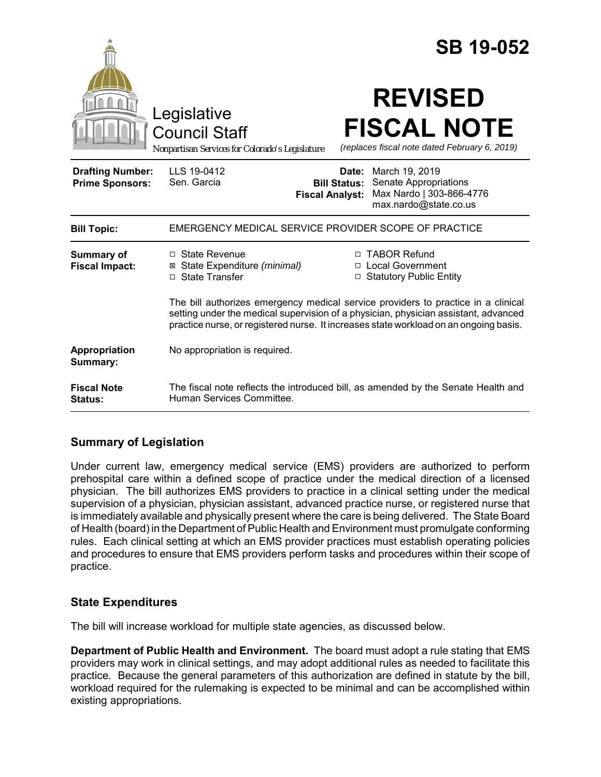|                                                   |                                                                                                                                                                                                                                                                   |                              | <b>SB 19-052</b>                                                                             |
|---------------------------------------------------|-------------------------------------------------------------------------------------------------------------------------------------------------------------------------------------------------------------------------------------------------------------------|------------------------------|----------------------------------------------------------------------------------------------|
|                                                   | Legislative<br><b>Council Staff</b><br>Nonpartisan Services for Colorado's Legislature                                                                                                                                                                            |                              | <b>REVISED</b><br><b>FISCAL NOTE</b><br>(replaces fiscal note dated February 6, 2019)        |
| <b>Drafting Number:</b><br><b>Prime Sponsors:</b> | LLS 19-0412<br>Sen. Garcia<br><b>Fiscal Analyst:</b>                                                                                                                                                                                                              | Date:<br><b>Bill Status:</b> | March 19, 2019<br>Senate Appropriations<br>Max Nardo   303-866-4776<br>max.nardo@state.co.us |
| <b>Bill Topic:</b>                                | EMERGENCY MEDICAL SERVICE PROVIDER SCOPE OF PRACTICE                                                                                                                                                                                                              |                              |                                                                                              |
| Summary of<br><b>Fiscal Impact:</b>               | $\Box$ State Revenue<br>⊠ State Expenditure (minimal)<br>□ State Transfer                                                                                                                                                                                         |                              | □ TABOR Refund<br>□ Local Government<br>□ Statutory Public Entity                            |
|                                                   | The bill authorizes emergency medical service providers to practice in a clinical<br>setting under the medical supervision of a physician, physician assistant, advanced<br>practice nurse, or registered nurse. It increases state workload on an ongoing basis. |                              |                                                                                              |
| <b>Appropriation</b><br>Summary:                  | No appropriation is required.                                                                                                                                                                                                                                     |                              |                                                                                              |
| <b>Fiscal Note</b><br>Status:                     | The fiscal note reflects the introduced bill, as amended by the Senate Health and<br>Human Services Committee.                                                                                                                                                    |                              |                                                                                              |

## **Summary of Legislation**

Under current law, emergency medical service (EMS) providers are authorized to perform prehospital care within a defined scope of practice under the medical direction of a licensed physician. The bill authorizes EMS providers to practice in a clinical setting under the medical supervision of a physician, physician assistant, advanced practice nurse, or registered nurse that is immediately available and physically present where the care is being delivered. The State Board of Health (board) in the Department of Public Health and Environment must promulgate conforming rules. Each clinical setting at which an EMS provider practices must establish operating policies and procedures to ensure that EMS providers perform tasks and procedures within their scope of practice.

## **State Expenditures**

The bill will increase workload for multiple state agencies, as discussed below.

**Department of Public Health and Environment.** The board must adopt a rule stating that EMS providers may work in clinical settings, and may adopt additional rules as needed to facilitate this practice. Because the general parameters of this authorization are defined in statute by the bill, workload required for the rulemaking is expected to be minimal and can be accomplished within existing appropriations.